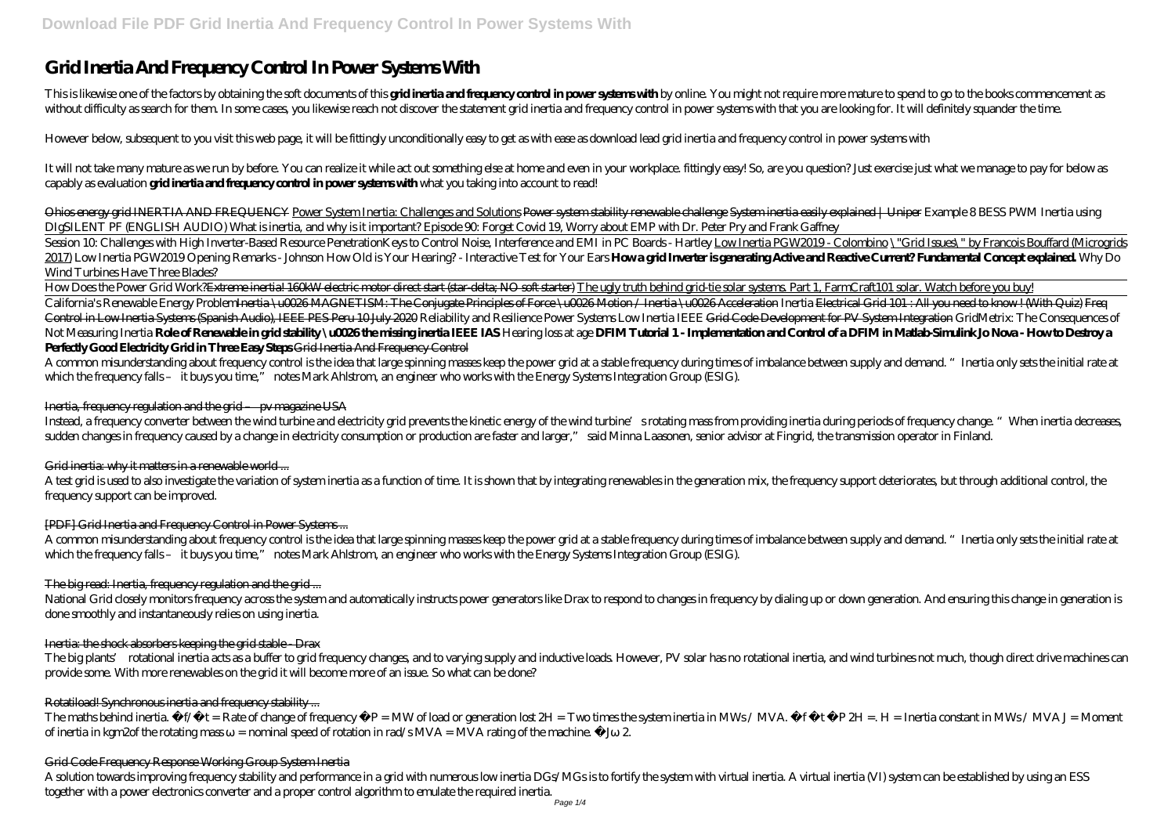# **Grid Inertia And Frequency Control In Power Systems With**

This is likewise one of the factors by obtaining the soft documents of this **gridineria and frequency control in power systems with** by online. You might not require more mature to spend to go to the books commencement as without difficulty as search for them. In some cases, you likewise reach not discover the statement grid inertia and frequency control in power systems with that you are looking for. It will definitely squander the time.

It will not take many mature as we run by before. You can realize it while act out something else at home and even in your workplace, fittingly easy! So, are you question? Just exercise just what we manage to pay for below capably as evaluation **grid inertia and frequency control in power systems with** what you taking into account to read!

However below, subsequent to you visit this web page, it will be fittingly unconditionally easy to get as with ease as download lead grid inertia and frequency control in power systems with

Session 10: Challenges with High Inverter-Based Resource Penetration *Keys to Control Noise, Interference and EMI in PC Boards - Hartley Low Inertia PGW2019 - Colombino \"Grid Issues\" by Francois Bouffard (Microgrids* 2017) Low Inertia PGW2019 Opening Remarks - Johnson How Old is Your Hearing? - Interactive Test for Your Ears **Howa grid Inverter is generating Active and Readive Current? Fundamental Concept explained Why Do** *Wind Turbines Have Three Blades?*

Ohios energy grid INERTIA AND FREQUENCY Power System Inertia: Challenges and Solutions Power system stability renewable challenge System inertia easily explained | Uniper *Example 8 BESS PWM Inertia using DIgSILENT PF (ENGLISH AUDIO) What is inertia, and why is it important? Episode 90: Forget Covid 19, Worry about EMP with Dr. Peter Pry and Frank Gaffney*

How Does the Power Grid Work?<del>Extreme inertia! 160kW electric motor direct start (star-delta; NO soft starter)</del> The ugly truth behind grid-tie solar systems. Part 1, FarmCraft101 solar. Watch before you buy! California's Renewable Energy Problem<del>Inertia \u0026 MAGNETISM: The Conjugate Principles of Force \u0026 Motion / Inertia \u0026 Acceleration Inertia <del>Electrical Grid 101 : All you need to know ! (With Quiz) Freq</del></del> Control in Low Inertia Systems (Spanish Audio), IEEE PES Peru 10 July 2020 Reliability and Resilience Pover Systems Low Inertia IEEE Grid Code Development for PV System Integration GridMetrix The Consequences of Not Measuring Inertia Role of Renewable in grid stability \u0026the missing inertial IEFE IAS Hearing loss at age DFIMT utgrid 1 - Implementation and Control of a DFIM in Matlab Simulink, Jo Nova - Howto Destroy a **Perfectly Good Electricity Grid in Three Easy Steps** Grid Inertia And Frequency Control

A test grid is used to also investigate the variation of system inertia as a function of time. It is shown that by integrating renewables in the generation mix, the frequency support deteriorates, but through additional co frequency support can be improved.

The big plants' rotational inertia acts as a buffer to grid frequency changes and to varying supply and inductive loads. However, PV solar has no rotational inertia, and wind turbines not much, though direct drive machines provide some. With more renewables on the grid it will become more of an issue. So what can be done?

A common misunderstanding about frequency control is the idea that large spinning masses keep the power grid at a stable frequency during times of imbalance between supply and demand. "Inertia only sets the initial rate at which the frequency falls – it buys you time," notes Mark Ahlstrom, an engineer who works with the Energy Systems Integration Group (ESIG).

## Inertia, frequency regulation and the grid – pv magazine USA

Instead, a frequency converter between the wind turbine and electricity grid prevents the kinetic energy of the wind turbine's rotating mass from providing inertia during periods of frequency change. "When inertia decreases, sudden changes in frequency caused by a change in electricity consumption or production are faster and larger," said Minna Laasonen, senior advisor at Fingrid, the transmission operator in Finland.

## Grid inertia: why it matters in a renewable world...

# [PDF] Grid Inertia and Frequency Control in Power Systems ...

A common misunderstanding about frequency control is the idea that large spinning masses keep the power grid at a stable frequency during times of imbalance between supply and demand. "Inertia only sets the initial rate at which the frequency falls – it buys you time," notes Mark Ahlstrom, an engineer who works with the Energy Systems Integration Group (ESIG).

## The big read: Inertia, frequency regulation and the grid ...

National Grid closely monitors frequency across the system and automatically instructs power generators like Drax to respond to changes in frequency by dialing up or down generation. And ensuring this change in generation is done smoothly and instantaneously relies on using inertia.

## Inertia: the shock absorbers keeping the grid stable - Drax

# Rotatiload! Synchronous inertia and frequency stability ...

The maths behind inertia.  $f/$  t = Rate of change of frequency  $P = MW$  of load or generation lost  $2H = Tw$  times the system inertia in MWs / MVA.  $f + PZH = H = Intia$  constant in MWs / MVA J = Moment of inertia in kgm2of the rotating mass  $=$  nominal speed of rotation in rad/s MVA = MVA rating of the machine.  $\frac{1}{2}$  2.

## Grid Code Frequency Response Working Group System Inertia

A solution towards improving frequency stability and performance in a grid with numerous low inertia DGs/MGs is to fortify the system with virtual inertia. A virtual inertia (VI) system can be established by using an ESS together with a power electronics converter and a proper control algorithm to emulate the required inertia.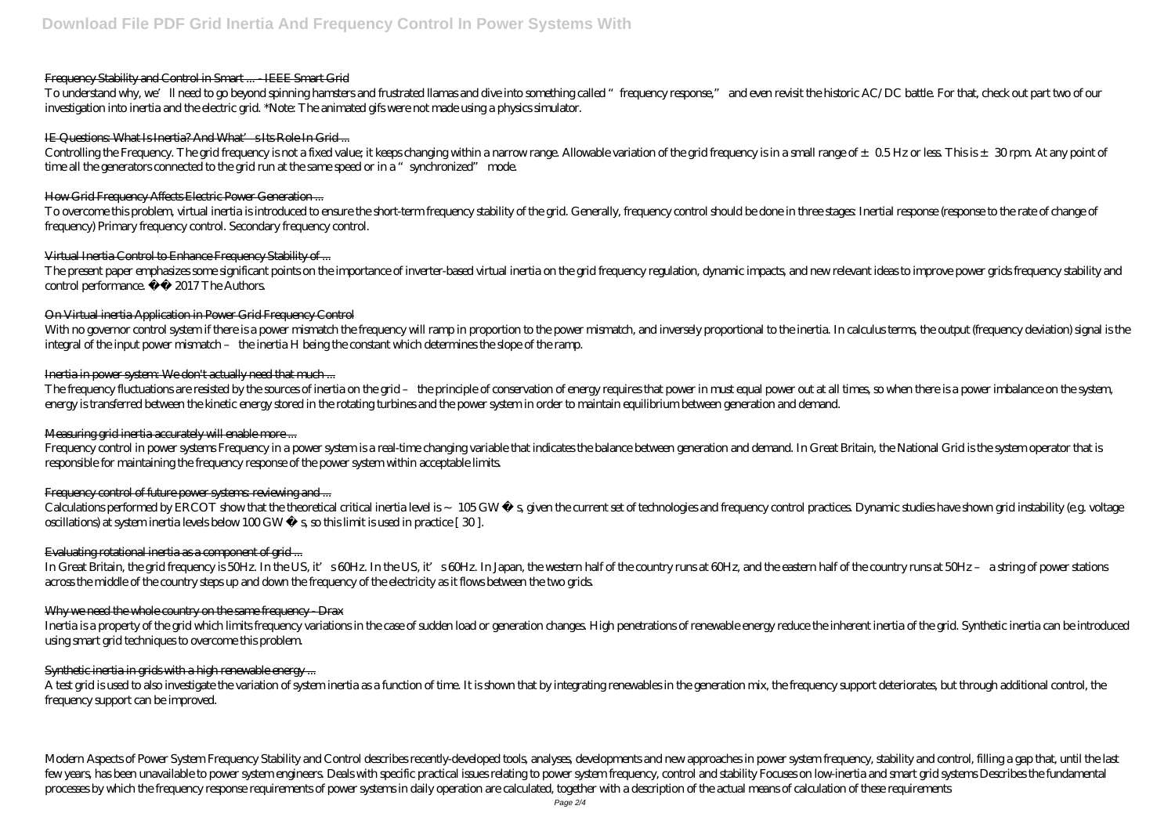## Frequency Stability and Control in Smart ... IEEE Smart Grid

To understand why, we'll need to go beyond spinning hamsters and frustrated llamas and dive into something called "frequency response," and even revisit the historic AC/DC battle. For that, check out part two of our investigation into inertia and the electric grid. \*Note: The animated gifs were not made using a physics simulator.

## IE Questions: What Is Inertia? And What's Its Role In Grid ...

Controlling the Frequency. The grid frequency is not a fixed value; it keeps changing within a narrow range. Allowable variation of the grid frequency is in a small range of  $\pm$  0.5 Hz or less This is  $\pm$  30 rpm. At any time all the generators connected to the grid run at the same speed or in a "synchronized" mode.

To overcome this problem, virtual inertia is introduced to ensure the short-term frequency stability of the grid. Generally, frequency control should be done in three stages Inertial response (response to the rate of chang frequency) Primary frequency control. Secondary frequency control.

## How Grid Frequency Affects Electric Power Generation ...

With no governor control system if there is a power mismatch the frequency will ramp in proportion to the power mismatch, and inversely proportional to the inertia. In calculus terms, the output (frequency deviation) signa integral of the input power mismatch – the inertia H being the constant which determines the slope of the ramp.

## Inertia in power system: We don't actually need that much ...

The frequency fluctuations are resisted by the sources of inertia on the grid - the principle of conservation of energy requires that power in must equal power out at all times, so when there is a power imbalance on the sy energy is transferred between the kinetic energy stored in the rotating turbines and the power system in order to maintain equilibrium between generation and demand.

## Virtual Inertia Control to Enhance Frequency Stability of ...

The present paper emphasizes some significant points on the importance of inverter-based virtual inertia on the grid frequency regulation, dynamic impacts, and new relevant ideas to improve power grids frequency stability control performance.  $\hat{A} \odot 2017$  The Authors.

## On Virtual inertia Application in Power Grid Frequency Control

Inertia is a property of the grid which limits frequency variations in the case of sudden load or generation changes. High penetrations of renewable energy reduce the inherent inertia of the grid. Synthetic inertia can be using smart grid techniques to overcome this problem.

# Synthetic inertia in grids with a high renewable energy ...

A test grid is used to also investigate the variation of system inertia as a function of time. It is shown that by integrating renewables in the generation mix, the frequency support deteriorates, but through additional co frequency support can be improved.

## Measuring grid inertia accurately will enable more ...

Modern Aspects of Power System Frequency Stability and Control describes recently-developed tools, analyses, developments and new approaches in power system frequency, stability and control, filling a gap that, until the l few years has been unavailable to power system engineers. Deals with specific practical issues relating to power system frequency, control and stability Focuses on low inertia and smart grid systems Describes the fundament processes by which the frequency response requirements of power systems in daily operation are calculated, together with a description of the actual means of calculation of these requirements

Frequency control in power systems Frequency in a power system is a real-time changing variable that indicates the balance between generation and demand. In Great Britain, the National Grid is the system operator that is responsible for maintaining the frequency response of the power system within acceptable limits.

# Frequency control of future power systems reviewing and ...

Calculations performed by ERCOT show that the theoretical critical inertia level is 105GW s, given the current set of technologies and frequency control practices Dynamic studies have shown grid instability (e.g. voltage oscillations) at system inertia levels below  $100$  GW s, so this limit is used in practice [30].

## Evaluating rotational inertia as a component of grid...

In Great Britain, the grid frequency is 50Hz. In the US, it's 60Hz. In the US, it's 60Hz. In Japan, the western half of the country runs at 60Hz, and the eastern half of the country runs at 50Hz – a string of power stations across the middle of the country steps up and down the frequency of the electricity as it flows between the two grids.

# Why we need the whole country on the same frequency - Drax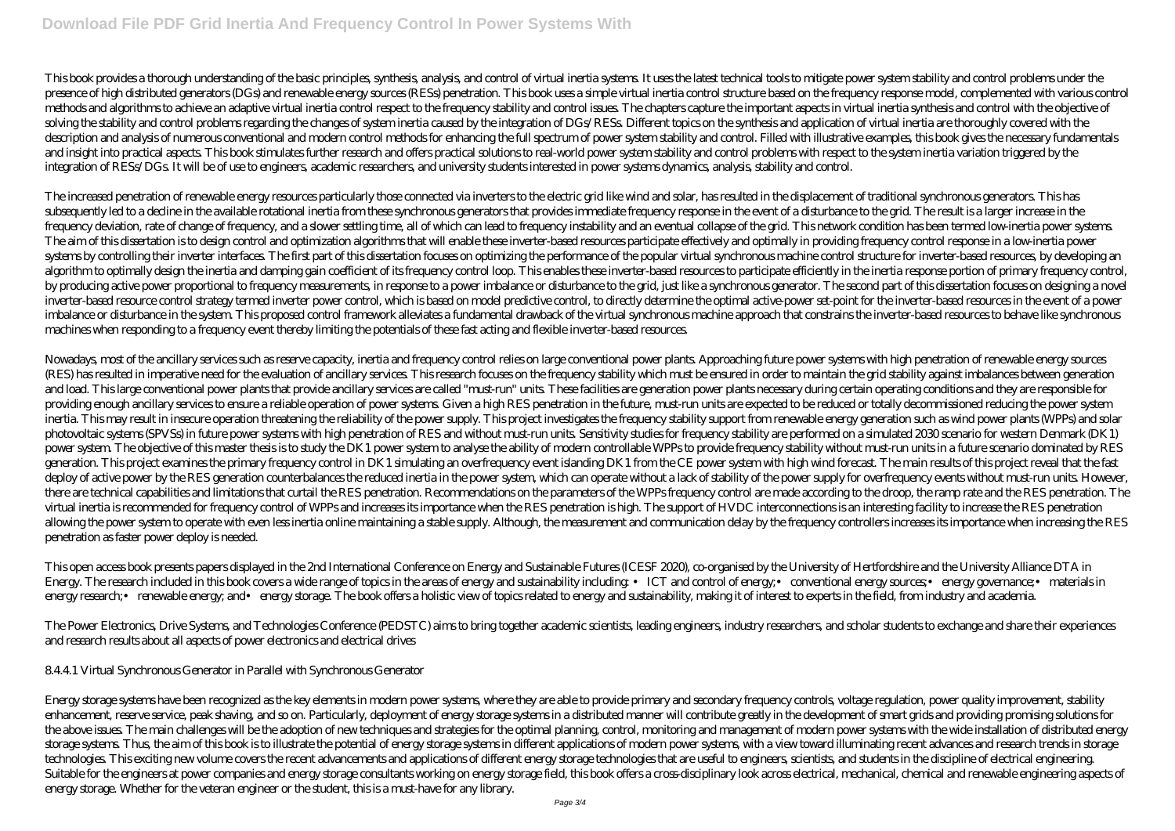This book provides a thorough understanding of the basic principles, synthesis, and ysis, and control of virtual inertia systems. It uses the latest technical tools to mitigate power system stability and control problems u presence of high distributed generators (DGs) and renewable energy sources (RESs) penetration. This book uses a simple virtual inertia control structure based on the frequency response model, complemented with various cont methods and algorithms to achieve an adaptive virtual inertia control respect to the frequency stability and control issues. The chapters capture the important aspects in virtual inertia synthesis and control with the obje solving the stability and control problems regarding the changes of system inertia caused by the integration of DGs/RESs. Different topics on the synthesis and application of virtual inertia are thoroughly covered with the description and analysis of numerous conventional and modern control methods for enhancing the full spectrum of power system stability and control. Filled with illustrative examples, this book gives the necessary fundament and insight into practical aspects. This book stimulates further research and offers practical solutions to real-world power system stability and control problems with respect to the system inertia variation triggered by the integration of RESs/DGs. It will be of use to engineers, academic researchers, and university students interested in power systems dynamics, analysis, stability and control.

The increased penetration of renewable energy resources particularly those connected via inverters to the electric grid like wind and solar, has resulted in the displacement of traditional synchronous generators. This has subsequently led to a decline in the available rotational inertia from these synchronous generators that provides immediate frequency response in the event of a disturbance to the grid. The result is a larger increase in t frequency deviation, rate of change of frequency, and a slower settling time, all of which can lead to frequency instability and an eventual collapse of the grid. This network condition has been termed low inertia power sy The aim of this dissertation is to design control and optimization algorithms that will enable these inverter-based resources participate effectively and optimally in providing frequency control response in a low-inertia p systems by controlling their inverter interfaces. The first part of this dissertation focuses on optimizing the performance of the popular virtual synchronous machine control structure for inverter-based resources, by deve algorithm to optimally design the inertia and damping gain coefficient of its frequency control loop. This enables these inverter-based resources to participate efficiently in the inertia response portion of primary freque by producing active power proportional to frequency measurements in response to a power imbalance or disturbance to the grid, just like a synchronous generator. The second part of this dissertation focuses on designing a n inverter-based resource control strategy termed inverter power control, which is based on model predictive control, to directly determine the optimal active power set-point for the inverter-based resources in the event of imbalance or disturbance in the system. This proposed control framework alleviates a fundamental drawback of the virtual synchronous machine approach that constrains the inverter-based resources to behave like synchronous machines when responding to a frequency event thereby limiting the potentials of these fast acting and flexible inverter-based resources.

Nowadays, most of the ancillary services such as reserve capacity, inertia and frequency control relies on large conventional power plants. Approaching future power systems with high penetration of renewable energy sources (RES) has resulted in imperative need for the evaluation of ancillary services. This research focuses on the frequency stability which must be ensured in order to maintain the grid stability against imbalances between gene and load. This large conventional power plants that provide ancillary services are called "must-run" units. These facilities are generation power plants necessary during certain operating conditions and they are responsibl providing enough ancillary services to ensure a reliable operation of power systems. Given a high RES penetration in the future, must-run units are expected to be reduced or totally decommissioned reducing the power system inertia. This may result in insecure operation threatening the reliability of the power supply. This project investigates the frequency stability support from renewable energy generation such as wind power plants (WPPs) an photovoltaic systems (SPVSs) in future power systems with high penetration of RES and without must-run units. Sensitivity studies for frequency stability are performed on a simulated 2030 scenario for western Denmark (DK1) power system The objective of this master thesis is to study the DK1 power system to analyse the ability of modern controllable WPPs to provide frequency stability without must-run units in a future scenario dominated by R generation. This project examines the primary frequency control in DK1 simulating an overfrequency event islanding DK1 from the CE power system with high wind forecast. The main results of this project reveal that the fast deploy of active power by the RES generation counterbalances the reduced inertia in the power system, which can operate without a lack of stability of the power supply for overfrequency events without must-run units. Howev there are technical capabilities and limitations that curtail the RES penetration. Recommendations on the parameters of the WPPs frequency control are made according to the droop, the ramp rate and the RES penetration. The virtual inertia is recommended for frequency control of WPPs and increases its importance when the RES penetration is high. The support of HVDC interconnections is an interesting facility to increase the RES penetration allowing the power system to operate with even less inertia online maintaining a stable supply. Although, the measurement and communication delay by the frequency controllers increases its importance when increasing the RES penetration as faster power deploy is needed.

This open access book presents papers displayed in the 2nd International Conference on Energy and Sustainable Futures (ICESF 2020), co-organised by the University of Hertfordshire and the University Alliance DTA in Energy. The research included in this book covers a wide range of topics in the areas of energy and sustainability including: • ICT and control of energy; • conventional energy sources; • energy governance; • materials in energy research;• renewable energy; and• energy storage. The book offers a holistic view of topics related to energy and sustainability, making it of interest to experts in the field, from industry and academia.

The Power Electronics, Drive Systems, and Technologies Conference (PEDSTC) aims to bring together academic scientists, leading engineers, industry researchers, and scholar students to exchange and share their experiences and research results about all aspects of power electronics and electrical drives

# 8.4.4.1 Virtual Synchronous Generator in Parallel with Synchronous Generator

Energy storage systems have been recognized as the key elements in modern power systems, where they are able to provide primary and secondary frequency controls, voltage regulation, power quality improvement, stability enhancement, reserve service, peak shaving and so on. Particularly, deployment of energy storage systems in a distributed manner will contribute greatly in the development of smart grids and providing promising solutions f the above issues. The main challenges will be the adoption of new techniques and strategies for the optimal planning, control, monitoring and management of modern power systems with the wide installation of distributed ene storage systems. Thus the aim of this book is to illustrate the potential of energy storage systems in different applications of modern power systems, with a view toward illuminating recent advances and research trends in technologies. This exciting new volume covers the recent advancements and applications of different energy storage technologies that are useful to engineers, scientists, and students in the discipline of electrical enginee Suitable for the engineers at power companies and energy storage consultants working on energy storage field, this book offers a cross disciplinary look across electrical, mechanical, chemical and renewable engineering asp energy storage. Whether for the veteran engineer or the student, this is a must-have for any library.